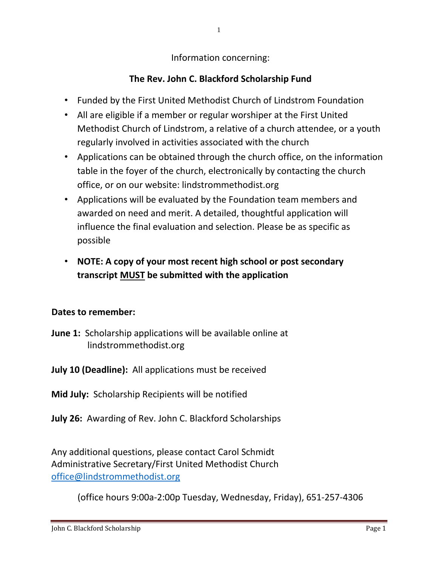Information concerning:

## **The Rev. John C. Blackford Scholarship Fund**

- Funded by the First United Methodist Church of Lindstrom Foundation
- All are eligible if a member or regular worshiper at the First United Methodist Church of Lindstrom, a relative of a church attendee, or a youth regularly involved in activities associated with the church
- Applications can be obtained through the church office, on the information table in the foyer of the church, electronically by contacting the church office, or on our website: lindstrommethodist.org
- Applications will be evaluated by the Foundation team members and awarded on need and merit. A detailed, thoughtful application will influence the final evaluation and selection. Please be as specific as possible
- **NOTE: A copy of your most recent high school or post secondary transcript MUST be submitted with the application**

### **Dates to remember:**

- **June 1:** Scholarship applications will be available online at lindstrommethodist.org
- **July 10 (Deadline):** All applications must be received
- **Mid July:** Scholarship Recipients will be notified
- **July 26:** Awarding of Rev. John C. Blackford Scholarships

Any additional questions, please contact Carol Schmidt Administrative Secretary/First United Methodist Church [office@lindstrommethodist.org](mailto:office@lindstrommethodist.org)

(office hours 9:00a-2:00p Tuesday, Wednesday, Friday), 651-257-4306

1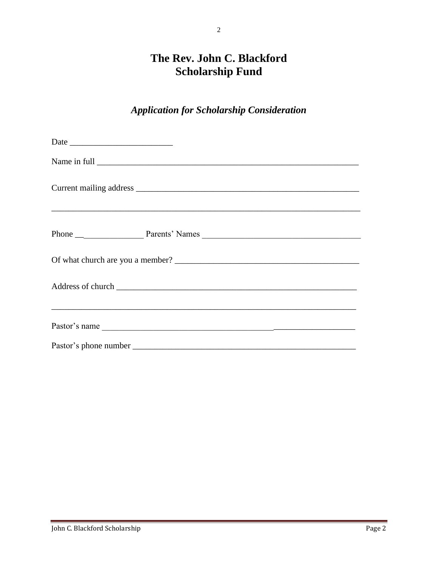# The Rev. John C. Blackford **Scholarship Fund**

 $\overline{2}$ 

## **Application for Scholarship Consideration**

| Date |  |
|------|--|
|      |  |
|      |  |
|      |  |
|      |  |
|      |  |
|      |  |
|      |  |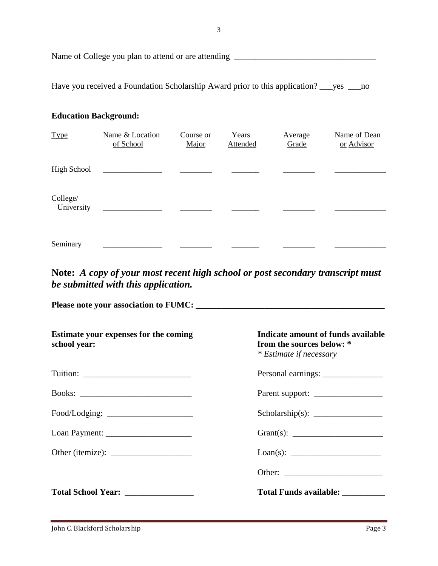Name of College you plan to attend or are attending \_\_\_\_\_\_\_\_\_\_\_\_\_\_\_\_\_\_\_\_\_\_\_\_\_\_\_\_\_

Have you received a Foundation Scholarship Award prior to this application? \_\_\_yes \_\_\_no

#### **Education Background:**

| <b>Type</b>            | Name & Location<br>of School | Course or<br>Major | Years<br><b>Attended</b> | Average<br>Grade | Name of Dean<br>or Advisor |
|------------------------|------------------------------|--------------------|--------------------------|------------------|----------------------------|
| High School            |                              |                    |                          |                  |                            |
| College/<br>University |                              |                    |                          |                  |                            |
| Seminary               |                              |                    |                          |                  |                            |

**Note:** *A copy of your most recent high school or post secondary transcript must be submitted with this application.*

**Please note your association to FUMC: \_\_\_\_\_\_\_\_\_\_\_\_\_\_\_\_\_\_\_\_\_\_\_\_\_\_\_\_\_\_\_\_\_\_\_\_\_\_\_\_\_\_\_\_**

| Estimate your expenses for the coming<br>school year: | Indicate amount of funds available<br>from the sources below: *<br>* Estimate if necessary |
|-------------------------------------------------------|--------------------------------------------------------------------------------------------|
|                                                       |                                                                                            |
|                                                       |                                                                                            |
|                                                       |                                                                                            |
|                                                       |                                                                                            |
|                                                       |                                                                                            |
|                                                       |                                                                                            |
| Total School Year: _______________                    |                                                                                            |
|                                                       |                                                                                            |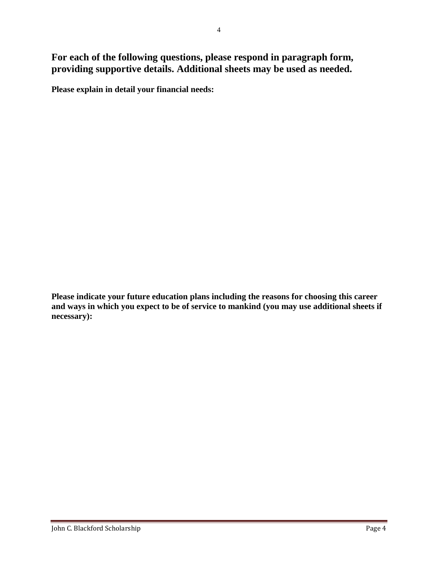**For each of the following questions, please respond in paragraph form, providing supportive details. Additional sheets may be used as needed.**

**Please explain in detail your financial needs:**

**Please indicate your future education plans including the reasons for choosing this career and ways in which you expect to be of service to mankind (you may use additional sheets if necessary):**